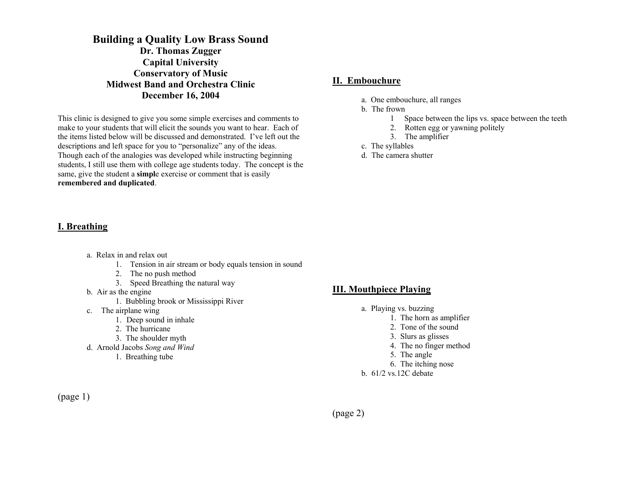## **Building a Quality Low Brass Sound Dr. Thomas Zugger Capital University Conservatory of Music Midwest Band and Orchestra Clinic December 16, 2004**

This clinic is designed to give you some simple exercises and comments to make to your students that will elicit the sounds you want to hear. Each of the items listed below will be discussed and demonstrated. I've left out the descriptions and left space for you to "personalize" any of the ideas. Though each of the analogies was developed while instructing beginning students, I still use them with college age students today. The concept is the same, give the student a **simpl**e exercise or comment that is easily **remembered and duplicated**.

#### **I. Breathing**

- a. Relax in and relax out
	- 1. Tension in air stream or body equals tension in sound
	- 2. The no push method
	- 3. Speed Breathing the natural way
- b. Air as the engine
	- 1. Bubbling brook or Mississippi River
- c. The airplane wing
	- 1. Deep sound in inhale
	- 2. The hurricane
	- 3. The shoulder myth
- d. Arnold Jacobs *Song and Wind*
	- 1. Breathing tube

# **III. Mouthpiece Playing**

- a. Playing vs. buzzing
	- 1. The horn as amplifier
	- 2. Tone of the sound
	- 3. Slurs as glisses
	- 4. The no finger method
	- 5. The angle
	- 6. The itching nose
- b. 61/2 vs.12C debate

(page 1)

(page 2)

# **II. Embouchure**

- a. One embouchure, all ranges
- b. The frown
	- 1 Space between the lips vs. space between the teeth
	- 2. Rotten egg or yawning politely
	- 3. The amplifier
- c. The syllables
- d. The camera shutter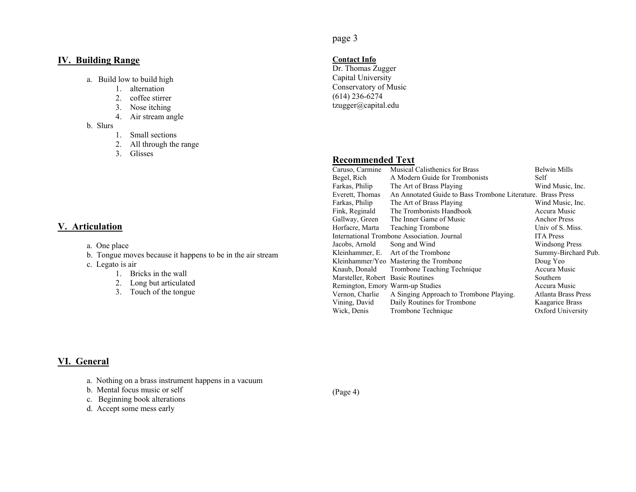#### **IV. Building Range**

- a. Build low to build high
	- 1. alternation
	- 2. coffee stirrer
	- 3. Nose itching
	- 4. Air stream angle
- b. Slurs
	- 1. Small sections
	- 2. All through the range
	- 3. Glisses

#### **V. Articulation**

- a. One place
- b. Tongue moves because it happens to be in the air stream
- c. Legato is air
	- 1. Bricks in the wall
	- 2. Long but articulated
	- 3. Touch of the tongue

# page 3

#### **Contact Info**

Dr. Thomas Zugger Capital University Conservatory of Music  $(614)$  236-6274 tzugger@capital.edu

#### **Recommended Text**

| Caruso, Carmine                   | <b>Musical Calisthenics for Brass</b>                       | <b>Belwin Mills</b>        |
|-----------------------------------|-------------------------------------------------------------|----------------------------|
| Begel, Rich                       | A Modern Guide for Trombonists                              | Self                       |
| Farkas, Philip                    | The Art of Brass Playing                                    | Wind Music, Inc.           |
| Everett, Thomas                   | An Annotated Guide to Bass Trombone Literature. Brass Press |                            |
| Farkas, Philip                    | The Art of Brass Playing                                    | Wind Music, Inc.           |
| Fink, Reginald                    | The Trombonists Handbook                                    | Accura Music               |
| Gallway, Green                    | The Inner Game of Music                                     | <b>Anchor Press</b>        |
| Horfacre, Marta                   | <b>Teaching Trombone</b>                                    | Univ of S. Miss.           |
|                                   | International Trombone Association. Journal                 | <b>ITA</b> Press           |
| Jacobs, Arnold                    | Song and Wind                                               | <b>Windsong Press</b>      |
| Kleinhammer, E.                   | Art of the Trombone                                         | Summy-Birchard Pub.        |
|                                   | Kleinhammer/Yeo Mastering the Trombone                      | Doug Yeo                   |
| Knaub, Donald                     | Trombone Teaching Technique                                 | Accura Music               |
| Marsteller, Robert Basic Routines |                                                             | Southern                   |
| Remington, Emory Warm-up Studies  |                                                             | Accura Music               |
| Vernon, Charlie                   | A Singing Approach to Trombone Playing.                     | <b>Atlanta Brass Press</b> |
| Vining, David                     | Daily Routines for Trombone                                 | <b>Kaagarice Brass</b>     |
| Wick, Denis                       | Trombone Technique                                          | Oxford University          |

### **VI. General**

- a. Nothing on a brass instrument happens in a vacuum
- b. Mental focus music or self
- c. Beginning book alterations
- d. Accept some mess early

(Page 4)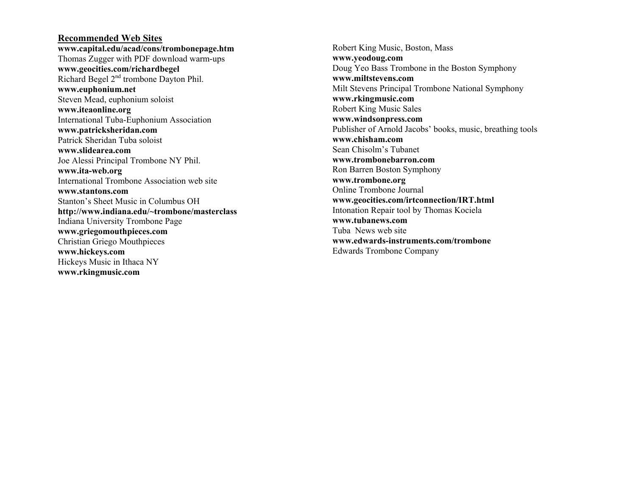#### **Recommended Web Sites www.capital.edu/acad/cons/trombonepage.htm**  Thomas Zugger with PDF download warm-ups **www.geocities.com/richardbegel** Richard Begel 2nd trombone Dayton Phil. **www.euphonium.net** Steven Mead, euphonium soloist **www.iteaonline.org**  International Tuba-Euphonium Association **www.patricksheridan.com**  Patrick Sheridan Tuba soloist **www.slidearea.com** Joe Alessi Principal Trombone NY Phil. **www.ita-web.org** International Trombone Association web site **www.stantons.com**Stanton's Sheet Music in Columbus OH **http://www.indiana.edu/~trombone/masterclass**  Indiana University Trombone Page **www.griegomouthpieces.com**  Christian Griego Mouthpieces **www.hickeys.com** Hickeys Music in Ithaca NY **www.rkingmusic.com**

Robert King Music, Boston, Mass **www.yeodoug.com**  Doug Yeo Bass Trombone in the Boston Symphony **www.miltstevens.com** Milt Stevens Principal Trombone National Symphony **www.rkingmusic.com**  Robert King Music Sales **www.windsonpress.com**  Publisher of Arnold Jacobs' books, music, breathing tools **www.chisham.com** Sean Chisolm's Tubanet **www.trombonebarron.com** Ron Barren Boston Symphony **www.trombone.org**  Online Trombone Journal **www.geocities.com/irtconnection/IRT.html**  Intonation Repair tool by Thomas Kociela **www.tubanews.com** Tuba News web site **www.edwards-instruments.com/trombone** Edwards Trombone Company